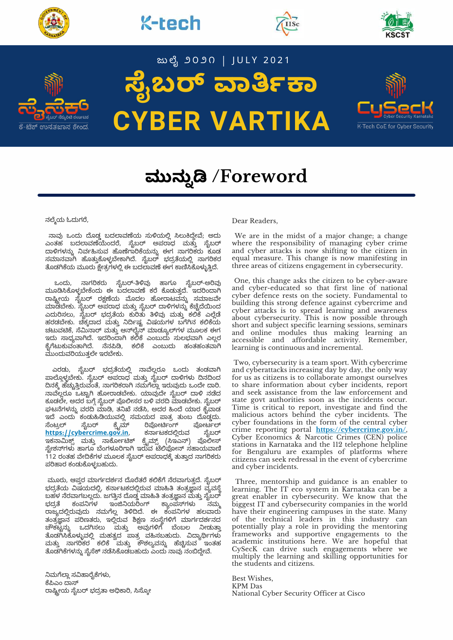









# **ೖಬ ಾಾ CYBER VARTIKA**

ಜುಲೈ ೨೦೨೧ | JULY 2021



# **ಮುನು /Foreword**

ನಲ್ಮೆಯ ಓದುಗರೆ,

ನಾವು ಒಂದು ದೊಡ್ಡ ಬದಲಾವಣೆಯ ಸುಳಿಯಲ್ಲಿ ಸಿಲುಕಿದ್ದೇವೆ; ಅದು ಎಂತಹ ಬದಲಾವಣೆಯೆಂದರೆ, ಸೈಬರ್ ಅಪರಾಧ ಮತ್ತು ಸೈಬರ್ ದಾಳಗಳನ್ನು ನರ್ವಹಿಸುವ ಹೂಣಗಾರಕಯನ್ನು ಈಗ ನಾಗರಿಕರು ಕೂಡ ಸಮಾನವಾಗಿ ಹೂತ್ತುಕೂಳ್ಳಬೇಕಾಗಿದೆ. ಸೃಬರ್ ಭದ್ರತೆಯಲ್ಲಿ ನಾಗರಿಕರ ತೊಡಗಿಕೆಯ ಮೂರು ಕ್ಷೇತ್ರಗಳಲ್ಲಿ ಈ ಬದಲಾವಣೆ ಈಗ ಕಾಣಿಸಿಕೊಳ್ಳುತ್ತಿದೆ.

ಒಂದು, ನಾಗರಿಕರು ಸೈಬರ್-ತಿಳಿವು ಹಾಗೂ ಸೈಬರ್-ಅರಿವು ಮೂಡಿಸಿಕೊಳ್ಳಬೇಕೆಂದು ಈ ಬದಲಾವಣೆ ಕರೆ ಕೊಡುತ್ತದೆ. ಇದರಿಂದಾಗಿ ರಾಷ್ಟ್ರೀಯ ಸೃಬರ್ ರಕ್ಷಣೆಯ ಮೊದಲ ಹೋರಾಟವನ್ನು ಸಮಾಜವೇ ಮಾಡಬೇಕು. ಸೃಬರ್ ಅಪರಾಧ ಮತ್ತು ಸೃಬರ್ ದಾಳಿಗಳನ್ನು ಕಚ್ಚದಯಿಂದ ಎದುರಿಸಲು, ಸೈಬರ್ ಭದ್ರತೆಯ ಕುರಿತು ತಿಳಿವು ಮತ್ತು ಕಲಿಕೆ ಎಲ್ಲೆಡೆ ಹರಡಬೇಕು. ಚಿಕ್ಕದಾದ ಮತ್ತು ನಿರ್ದಿಷ್ಟ ವಿಷಯಗಳ ಬಗೆಗಿನ ಕಲಿಕೆಯ ಚಟುವಟಿಕೆ, ಸೆಮಿನಾರ್ ಮತ್ತು ಆನ್೮ೈನ್ ಮಾಡ್ಯೂಲ್ಗಳ ಮೂಲಕ ಈಗ ಇದು ಸಾಧ್ಯವಾಗಿದೆ. ಇದರಿಂದಾಗಿ ಕಲಿಕೆ ಎಂಬುದು ಸುಲಭವಾಗಿ ಎಲ್ಲರ ಕೈಗೆಟುಕುವಂತಾಗಿದೆ. ನೆನಪಿಡಿ, ಕಲಿಕೆ ಎಂಬುದು ಹಂತಹಂತವಾಗಿ ಮುಂದುವರಿಯುತ್ತಲೇ ಇರಬೇಕು.

ಎರಡು, ಸೈಬರ್ ಭದ್ರತೆಯಲ್ಲಿ ನಾವೆಲ್ಲರೂ ಒಂದು ತಂಡವಾಗಿ ಪಾಲ್ಗೊಳ್ಳಬೇಕು. ಸೈಬರ್ ಅಪರಾಧ ಮತ್ತು ಸೈಬರ್ ದಾಳಿಗಳು ದಿನದಿಂದ ದಿನಕ್ಕೆ ಹೆಚ್ಚುತ್ತಿರುವಂತೆ, ನಾಗರಿಕರಾಗಿ ನಮಗೆಲ್ಲಾ ಇರುವುದು ಒಂದೇ ದಾರಿ. ನಾವೆಲ್ಲರೂ ಒಟ್ಟಾಗಿ ಹೋರಾಡಬೇಕು. ಯಾವುದೇ ಸೈಬರ್ ದಾಳಿ ನಡೆದ ಕೂಡಲೇ, ಅದರ ಬಗ್ಗೆ ಸೈಬರ್ ಪೊಲೀಸರ ಬಳಿ ವರದಿ ಮಾಡಬೇಕು. ಸೈಬರ್ ಘಟನೆಗಳನ್ನು ವರದಿ ಮಾಡಿ, ತನಿಖೆ ನಡೆಸಿ, ಅದರ ಹಿಂದೆ ಯಾರ ಕೈವಾಡ ಇದೆ ಎಂದು ಕಂಡುಹಿಡಿಯುವಲ್ಲಿ ಸಮಯದ ಪಾತ್ರ ತುಂಬ ದೊಡ್ಡದು.<br>ಸೆಂಟ್ರಲ್ ಸೈಬರ್ ಕ್ರೈಮ್ ರಿಪೋರ್ಟಿಂಗ್ ಪೋರ್ಟಲ್ ರಿಪೋರ್ಟಿಂಗ್ ಪೋರ್ಟಲ್<br>ಕರ್ನಾಟಕದಲ್ಲಿರುವ ಸೈಬರ್  $h$ ttps://[cybercrime](https://cybercrime.gov.in/).gov.in, ಇಕನಾಮಿಕ್ಸ್ ಮತ್ತು ನಾರ್ಕೋಟಿಕ್ ಕ್ರೈಮ್ಸ್ (ಸಿಇಎನ್) ಪೊಲೀಸ್ ಸ್ಟೇಶನ್ಗಳು ಹಾಗೂ ಬೆಂಗಳೂರಿಗಾಗಿ ಇರುವ ಟೆಲಿಫೋನ್ ಸಹಾಯವಾಣಿ 112 ರಂತಹ ವೇದಿಕೆಗಳ ಮೂಲಕ ಸೈಬರ್ ಅಪರಾಧಕ್ಕೆ ತುತ್ತಾದ ನಾಗರಿಕರು ಪರಿಹಾರ ಕಂಡುಕೊಳ್ಳಬಹುದು.

ಮೂರು, ಆಪ್ತರ ಮಾರ್ಗದರ್ಶನ ದೊರೆತರೆ ಕಲಿಕೆಗೆ ನೆರವಾಗುತ್ತದೆ. ಸೈಬರ್ ಭದ್ರತೆಯ ವಿಷಯದಲ್ಲಿ, ಕರ್ನಾಟಕದಲ್ಲಿರುವ ಮಾಹಿತಿ ತಂತ್ರಜ್ಞಾನ ವ್ಯವಸ್ಥೆ ಬಹಳ ನೆರವಾಗಬಲ್ಲದು. ಜಗತ್ತಿನ ದೊಡ್ಡ ಮಾಹಿತಿ ತಂತ್ರಜ್ಞಾನ ಮತ್ತು ಸೈಬರ್<br>ಭದ್ರತೆ ಕಂಪನಿಗಳ ಇಂಜಿನಿಯರಿಂಗ್ ಕ್ಯಾಂಪಸ್1ಳು ನಮ್ಮ ಕ್ಯಾಂಪಸ್ಗಳು ರಾಜ್ಯದಲ್ಲಿರುವುದು ನಮಗೆಲ್ಲ ತಿಳಿದಿದೆ. ಈ ಕಂಪನಿಗಳ ಹಲವಾರು ತಂತ್ರಜ್ಞಾನ ಪರಿಣತರು, ಇಲ್ಲಿರುವ ಶಿಕ್ಷಣ ಸಂಸ್ಥೆಗಳಿಗೆ ಮಾರ್ಗದರ್ಶನದ<br>ಚೌಕಟ್ರನ್ನು ಒದಗಿಸಲು ಮತ್ತು ಅವುಗಳಿಗೆ ಬೆಂಬಲ ನೀಡುತ್ತಾ ಒದಗಿಸಲು ಮತ್ತು ಅವುಗಳಿಗೆ ಬೆಂಬಲ ನೀಡುತ್ತಾ ತೊಡಗಿಸಿಕೊಳ್ಳುವಲ್ಲಿ ಮಹತ್ವದ ಪಾತ್ರ ವಹಿಸಬಹುದು. ವಿದ್ಯಾರ್ಥಿಗಳು ಮತ್ತು ನಾಗರಿಕರ ಕಲಿಕೆ ಮತ್ತು ಕೌಶಲ್ಯವನ್ನು ಹೆಚ್ಚಿಸುವ ಇಂತಹ ತೊಡಗಿಕೆಗಳನ್ನು ಸೈಸೆಕ್ ನಡೆಸಿಕೊಡಬಹುದು ಎಂದು ನಾವು ನಂಬಿದ್ದೇವೆ.

ನಿಮಗೆಲ್ಲಾ ಸವಿಹಾರೈಕೆಗಳು, ಕೆಪಿಎಂ ದಾಸ್ ರಾಷ್ಟ್ರೀಯ ಸೈಬರ್ ಭದ್ರತಾ ಅಧಿಕಾರಿ, ಸಿಸ್ಕೋ

#### Dear Readers,

We are in the midst of a major change; a change where the responsibility of managing cyber crime and cyber attacks is now shifting to the citizen in equal measure. This change is now manifesting in three areas of citizens engagement in cybersecurity.

One, this change asks the citizen to be cyber-aware and cyber-educated so that first line of national cyber defence rests on the society. Fundamental to building this strong defence against cybercrime and cyber attacks is to spread learning and awareness about cybersecurity. This is now possible through short and subject specific learning sessions, seminars and online modules thus making learning an accessible and affordable activity. Remember, learning is continuous and incremental.

Two, cybersecurity is a team sport. With cybercrime and cyberattacks increasing day by day, the only way for us as citizens is to collaborate amongst ourselves to share information about cyber incidents, report and seek assistance from the law enforcement and state govt authorities soon as the incidents occur. Time is critical to report, investigate and find the malicious actors behind the cyber incidents. The cyber foundations in the form of the central cyber crime reporting portal **<https://cybercrime.gov.in/>**, Cyber Economics & Narcotic Crimes (CEN) police stations in Karnataka and the 112 telephone helpline for Bengaluru are examples of platforms where citizens can seek redressal in the event of cybercrime and cyber incidents.

Three, mentorship and guidance is an enabler to learning. The IT eco system in Karnataka can be a great enabler in cybersecurity. We know that the biggest IT and cybersecurity companies in the world have their engineering campuses in the state. Many of the technical leaders in this industry can potentially play a role in providing the mentoring frameworks and supportive engagements to the academic institutions here. We are hopeful that CySecK can drive such engagements where we multiply the learning and skilling opportunities for the students and citizens.

Best Wishes, KPM Das National Cyber Security Officer at Cisco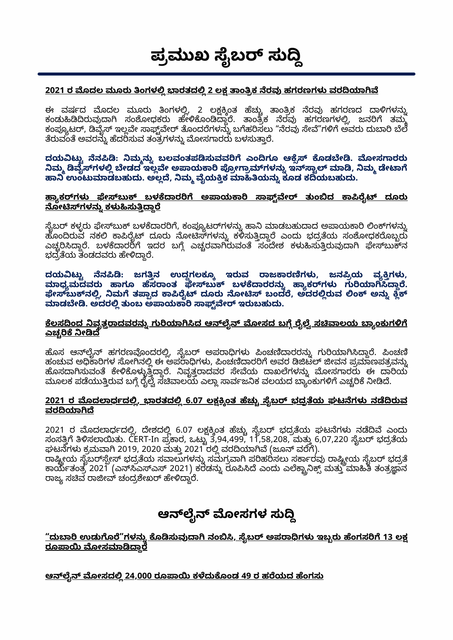#### **ಪಮುಖ ೖಬ ಸು** ֚֚֚֬

#### **2021 ರ ದಲ ಮೂರು ಂಗಳ ಾರತದ 2 ಲ ಾಂಕ ರವ ಹಗರಣಗಳ [ವರಾ](https://ciso.economictimes.indiatimes.com/news/2-lakh-tech-support-scams-detected-in-india-in-q1-2021-report/84140371)**

ಈ ವರ್ಷದ ಮೂದಲ ಮೂರು ತಿಂಗಳಲ್ಲಿ, 2 ಲಕ್ಷಕ್ಕಿಂತ ಹೆಚ್ಚು ತಾಂತ್ರಿಕ ನರವು ಹಗರಣದ ದಾಳಿಗಳನ್ನು ಕಂಡುಹಿಡಿದಿರುವುದಾಗಿ ಸಂಶೋಧಕರು ಹೇಳಿಕೊಂಡಿದ್ದಾರೆ. ತಾಂತ್ರಿಕ ನರವು ಹಗರಣಗಳಲ್ಲಿ, ಜನರಿಗೆ ತಮ್ಮ ಕಂಪ್ಯೂಟರ್, ಡಿವೈಸ್ ಇಲ್ಲವೇ ಸಾಫ್ಟ್ವೇರ್ ತೊಂದರೆಗಳನ್ನು ಬಗೆಹರಿಸಲು "ನೆರವು ಸೇವೆ"ಗಳಿಗೆ ಅವರು ದುಬಾರಿ ಬೆಲೆ ತೆರುವಂತೆ ಅವರನ್ನು ಹೆದರಿಸುವ ತಂತ್ರಗಳನ್ನು ಮೋಸಗಾರರು ಬಳಸುತ್ತಾರೆ.

**ದಯಟು ನ: ಮನು ಬಲವಂತಪಸುವವ ಎಂಗೂ ಆ ೂಡೕ. ೕಸಾರರು ಮ ೖಗಳ ೕಡದ ಇಲೕ ಅಾಯಾ ೕಾಗಳನು ಇಾ ಾ, ಮ ೕಾ ಾ ಉಂಟುಾಡಬಹುದು. ಅಲ, ಮ ೖಯಕ ಾಯನು ಕೂಡ ಕಯಬಹುದು.**

#### <u>ಹ್ಯಾಕರ್**ಗಳು ಫೇಸ್**ಬುಕ್ ಬಳಕೆದಾರರಿಗೆ ಅಪಾಯಕಾರಿ ಸಾಫ್ಟ್**ವೇರ್ ತುಂಬಿದ ಕಾಪಿರೈಟ್ ದೂರು**</u> **[ೂೕಗಳನು](https://economictimes.indiatimes.com/tech/technology/hackers-sending-fake-copyright-complaint-notice-with-malware-to-facebook-users-expert/articleshow/84442512.cms,) ಕಳಸುಾ**

ಸೈಬರ್ ಕಳ್ಳರು ಫೇಸ್ಬುಕ್ ಬಳಕೆದಾರರಿಗೆ, ಕಂಪ್ಯೂಟರ್ಗಳನ್ನು ಹಾನಿ ಮಾಡಬಹುದಾದ ಅಪಾಯಕಾರಿ ಲಿಂಕ್ಗಳನ್ನು ಹೊಂದಿರುವ ನಕಲಿ ಕಾಪಿರೈಟ್ ದೂರು ನೋಟಿಸ್ಗಳನ್ನು ಕಳಿಸುತ್ತಿದ್ದಾರೆ ಎಂದು ಭದ್ರತೆಯ ಸಂಶೋಧಕರೊಬ್ಬರು ಎಚ್ಚರಿಸಿದ್ದಾರೆ. ಬಳಕೆದಾರರಿಗೆ ಇದರ ಬಗ್ಗೆ ಎಚ್ಚರವಾಗಿರುವಂತೆ ಸಂದೇಶ ಕಳುಹಿಸುತ್ತಿರುವುದಾಗಿ ಫೇಸ್ಬುಕ್**ನ** ಭದ್ರತೆಯ ತಂಡದವರು ಹೇಳಿದ್ದಾರೆ.

**ದಯಟು ನ: ಜಗನ ಉದಗಲಕೂ ಇರುವ ಾಜಾರಗಳ, ಜನಯ ವಗಳ,** ಮಾಧ್ಯಮದವರು ಹಾಗೂ ಹೆಸರಾಂತ ಫೇಸ್**ಬುಕ್ ಬಳಕೆದಾರರನ್ನು ಹ್ಯಾಕರ್**ಗಳು ಗುರಿಯಾಗಿಸಿದ್ದಾರೆ. **ೕಬುನ, ಮ ತಾದ ಾೖ ದೂರು ೂೕ ಬಂದ, ಅದರರುವ ಂ ಅನು ಾಡೕ. ಅದರ ತುಂಬ ಅಾಯಾ ಾೕ ಇರುಬಹುದು.**

#### <u>ಕೆಲಸದಿಂದ ನಿವೃತ್ತರಾದವರನ್ನು ಗುರಿಯಾಗಿಸಿದ ಆನ್**ಲೈನ್ ಮೋಸದ ಬಗ್ಗೆ ರೈಲ್ವ<u>ೆ ಸಚಿವಾಲಯ ಬ್ಯಾಂಕುಗಳಿಗೆ</u>**</u> <u>ಎಚ್ಕರಿಕೆ ನೀಡಿದೆ</u>

ಹೊಸ ಆನ್ಲೈನ್ ಹಗರಣವೊಂದರಲ್ಲಿ, ಸೈಬರ್ ಅಪರಾಧಿಗಳು ಪಿಂಚಣಿದಾರರನ್ನು ಗುರಿಯಾಗಿಸಿದ್ದಾರೆ. ಪಿಂಚಣಿ ಹಂಚುವ ಅಧಿಕಾರಿಗಳ ಸೋಗಿನಲ್ಲಿ ಈ ಅಪರಾಧಿಗಳು, ಪಿಂಚಣಿದಾರರಿಗೆ ಅವರ ಡಿಜಿಟಲ್ ಜೀವನ ಪ್ರಮಾಣಪತ್ರವನ್ನು ಹೊಸದಾಗಿಸುವಂತೆ ಕೇಳಿಕೊಳ್ಳುತ್ತಿದ್ದಾರೆ. ನಿವೃತ್ತರಾದವರ ಸೇವೆಯ ದಾಖಲೆಗಳನ್ನು ಮೋಸಗಾರರು ಈ ದಾರಿಯ ಮೂಲಕ ಪಡೆಯುತ್ತಿರುವ ಬಗ್ಗೆ ರೈಲ್ವೆ ಸೆಚಿವಾಲಯ ಎಲ್ಲಾ ಸಾರ್ವಜನಿಕ ವಲಯದ ಬ್ಯಾಂಕುಗಳಿಗೆ ಎಚ್ಚರಿಕೆ ನೀಡಿದೆ.

#### <u>2021 ರ ಮೊದಲಾರ್ಧದಲ್ಲಿ, ಭಾರತದಲ್ಲಿ 6.07 ಲಕ್ಷಕ್ಕಿಂತ ಹೆಚ್ಚು ಸೈಬರ್ ಭದ್ರತೆಯ ಘಟನೆಗಳು ನಡೆದಿರುವ</u> <u>ವರದಿಯಾಗಿದೆ</u>

2021 ರ ಮೂದಲಾರ್ಧದಲ್ಲಿ, ದೇಶದಲ್ಲಿ 6.07 ಲಕ್ಷಕ್ಕಿಂತ ಹಚ್ಚು ಸೃಬರ್ ಭದ್ರತಯ ಘಟನಗಳು ನಡೆದಿವೆ ಎಂದು ಸಂಸತ್ತಿಗೆ ತಿಳಿಸಲಾಯಿತು. CERT-In ಪ್ರಕಾರ, ಒಟ್ಟು 3,94,499, 11,58,208, ಮತ್ತು 6,07,220 ಸೈಬರ್ ಭದ್ರತೆಯ ಘಟನೆಗಳು ಕ್ರಮವಾಗಿ 2019, 2020 ಮತ್ತು 2021 ರಲ್ಲಿ ವರದಿಯಾಗಿವೆ (ಜೂನ್ ವರೆಗೆ).

ರಾಷ್ಟ್ರೀಯ ಸೈಬರ್ಸ್ಪೇಸ್ ಭದ್ರತೆಯ ಸವಾಲುಗಳನ್ನು ಸಮಗ್ರವಾಗಿ ಪರಿಹರಿಸಲು ಸರ್ಕಾರವು ರಾಷ್ಟ್ರೀಯ ಸೈಬರ್ ಭದ್ರತೆ ಾಯತಂತ 2021 (ಎಎಎ 2021) ಕರಡನು ರೂ ಎಂದು ಎಾ ಮತು ಾ ತಂತಾನ ರಾಜ್ಯ ಸಚಿವ ರಾಜೀವ್ ಚಂದ್ರಶೇಖರ್ ಹೇಳಿದ್ದಾರೆ.

#### **ಆೖ ೕಸಗಳ ಸು** ֚֚֚֬

<u>"ದುಬಾರಿ ಉಡುಗೊರೆ"ಗಳನ್ನು ಕೊಡಿಸುವುದಾಗಿ ನಂಬಿಸಿ, ಸೈಬರ್ ಅಪರಾಧಿಗಳು ಇಬ್ಬರು ಹೆಂಗಸರಿಗೆ 13 ಲಕ್ಷ</u> <u>ರೂಪಾಯಿ ಮೋಸಮಾಡಿದ್ದಾರೆ</u>

**ಆೖ ೕಸದ 24,000 ರೂಾ [ಕದುೂಂಡ](https://www.freepressjournal.in/mumbai/mumb%20ai-woman-duped-of-rs-24000-in-online-fraud-2) 49 ರ ಹಯದ ಂಗಸು**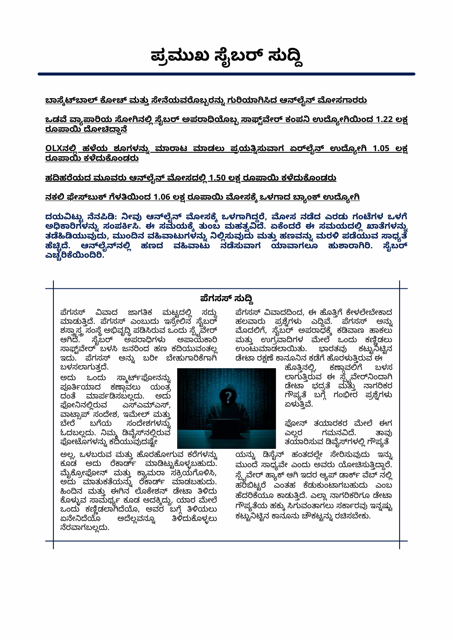**ಪಮುಖ ೖಬ ಸು** ֚֚֬֝

<u>ಬಾಸ್ಕೆಟ್ಬಾಲ್ ಕೋಚ್ ಮತ್ತು ಸೇನೆಯವರೊಬ್ಬರನ್ನು ಗುರಿಯಾಗಿಸಿದ ಆನ್**ಲೈನ್ ಮೋಸಗಾರ**ರು</u>

<u>ಒಡವೆ ವ್ಯಾಪಾರಿಯ ಸೋಗಿನಲ್ಲಿ ಸೈಬರ್ ಅಪರಾಧಿಯೊಬ್ಬ ಸಾಫ್ಟ್ರವೇರ್ ಕಂಪನಿ ಉದ್ಯೋಗಿಯಿಂದ 1.22 ಲಕ್ಷ</u> <u>ರೂಪಾಯಿ ದೋಚಿದ್ದಾನೆ</u>

**OLXನ ಹಯ ಶೂಗಳನು ಾಾಟ ಾಡಲು ಪಯಸುಾಗ ಏೖ ಉೂೕ 1.05 ಲ ರೂಾ [ಕದುೂಂಡರು](https://www.thehindu.com/news/cities/bangalore/online-fraud-airline-employee-loses-105-lakh-while-trying-to-sell-old-pair-of-shoes/article35557956.ece)**

<u>ಹದಿಹರೆಯದ ಮೂವರು ಆನ್**ಲೈನ್ ಮೋಸದಲ್ಲಿ 1.50 ಲಕ್ಷ ರೂಪಾಯಿ ಕಳೆದುಕೊಂಡ**ರು</u>

<u>ನಕಲಿ ಫೇಸ್ಬುಕ್ ಗೆಳತಿಯಿಂದ 1.06 ಲಕ್ಷ ರೂಪಾಯಿ ಮೋಸಕ್ಕೆ ಒಳಗಾದ ಬ್ಯಾಂಕ್ ಉದ್ಯೋಗಿ</u>

**ದಯಟು ನ: ೕವ ಆೖ ೕಸ ಒಳಾದ, ೕಸ ನದ ಎರಡು ಗಂಗಳ ಒಳ ಅಾಗಳನು ಸಂಪ. ಈ ಸಮಯ ತುಂಬ ಮಹತ. ಏಂದ ಈ ಸಮಯದ ಾಗಳನು ತಯುವದು, ಮುಂನ ವಾಟುಗಳನು ಸುವದು ಮತು ಹಣವನು ಮರ ಪಯುವ ಾಧ . ಆೖನ ಹಣದ ವಾಟು ನಸುಾಗ ಾಾಗಲೂ ಹುಾಾ. ೖಬ** ಎಚ್ಚರಿಕೆಯಿಂದಿರಿ.

#### **ಗಸ ಸು**

ಪೆಗಸಸ್ ವಿವಾದ ಜಾಗತಿಕ ಮಟ್ಟದಲ್ಲಿ ಸದ್ದು ಮಾಡುತ್ತಿದೆ. ಪೆಗಸಸ್ ಎಂಬುದು ಇಸ್ರೇಲಿನ ಸೈಬರ್ ಶಸ್ತ್ರಾಸ್ತ್ರ ಸಂಸ್ಥೆ ಅಭಿವೃದ್ಧಿ ಪಡಿಸಿರುವ ಒಂದು ಸ್ಪೈವೇರ್ ಆಗಿದೆ. ಸೈಬರ್ ಅಪರಾಧಿಗಳು ಅಪಾಯಕಾರಿ ಸಾಫ್ಟ್ರಾವೇರ್ ಬಳಸಿ ಜನರಿಂದ ಹಣ ಕದಿಯುವಂತಲ್ಲ ಇದು. ಪೆಗಸಸ್ ಅನ್ನು ಬರೀ ಬೇಹುಗಾರಿಕೆಗಾಗಿ ಬಳಸಲಾಗುತದೆ.

ಅದು ಒಂದು ಸ್ಮಾರ್ಟ್ಫೋನನ್ನು ಪೂರ್ತಿಯಾದ ಕಣ್ಗಾವಲು ಯಂತ್ರ ದಂತೆ ಮಾರ್ಪಡಿಸಬಲ್ಲದು. ಅದು ಫೋನಿನಲ್ಲಿರುವ ಎಸ್ಎಮ್ಎಸ್, ವಾಟ್ಸಾಪ್ ಸಂದೇಶ, ಇಮೇಲ್ ಮತ್ತು<br>ಬೇರೆ ಬಗೆಯ ಸಂದೇಶಗಳನ್ನು ಸಂದೇಶಗಳನ್ನು ಓದಬಲ್ಲದು. ನಿಮ್ಮ ಡಿವೈಸ್ನಲ್ಲಿರುವ ಫೋಟೊಗಳನ್ನು ಕದಿಯುವುದಷ್ಟೇ

ಅಲ್ಲ, ಒಳಬರುವ ಮತ್ತು ಹೊರಹೋಗುವ ಕರೆಗಳನ್ನು ಕೂಡ ಅದು ರೆಕಾರ್ಡ್ ಮಾಡಿಟ್ಟುಕೊಳ್ಳಬಹುದು. ಮೃಕ್ರೋಫೋನ್ ಮತ್ತು ಕ್ಯಾಮರಾ ಸಕ್ರಿಯಗೂಳಿಸಿ, ಅದು ಮಾತುಕತಯನ್ನು ರಕಾರ್ಡ್ ಮಾಡಬಹುದು. ಹಿಂದಿನ ಮತ್ತು ಈಗಿನ ಲೂಕೇಶನ್ ಡೇಟಾ ತಿಳಿದು ಕೊಳ್ಳುವ ಸಾಮರ್ಥ್ಯ ಕೂಡ ಅದಕ್ಕಿದ್ದು, ಯಾರ ಮೇಲೆ ಒಂದು ಕಣ್ಣಿಡಲಾಗಿದೆಯೊ, ಅವರ ಬಗ್ಗೆ ತಿಳಿಯಲು<br>ಏನೇನಿದೆಯೊ ಅದೆಲ್ಲವನ್ನೂ ತಿಳಿದುಕೊಳ್ಳಲು ತಿಳಿದುಕೊಳ್ಳಲು ನೆರವಾಗಬಲ್ಲದು.



ಪೆಗಸಸ್ ವಿವಾದದಿಂದ, ಈ ಹೊತ್ತಿಗೆ ಕೇಳಲೇಬೇಕಾದ ಹಲವಾರು ಪ್ರಶ್ನೆಗಳು ಎದ್ದಿವೆ. ಪೆಗಸಸ್ ಅನ್ನು ಮೊದಲಿಗೆ, ಸೈಬರ್ ಅಪರಾಧಕ್ಕೆ ಕಡಿವಾಣ ಹಾಕಲು ಮತ್ತು ಉಗ್ರವಾದಿಗಳ ಮೇಲೆ ಒಂದು ಕಣ್ಣಿಡಲು ಉಂಟುಮಾಡಲಾಯಿತು. ಭಾರತವು ಕಟ್ಟುನಿಟ್ಟಿನ ಡೇಟಾ ರಕ್ಷಣೆ ಕಾನೂನಿನ ಕಡೆಗೆ ಹೊರಳುತ್ತಿರುವ ಈ<br>—————— ಹೊತ್ತಿನಲ್ಲಿ, ಕಣ್ತಾವಲಿಗೆ ಬಳಸ

ಕಣ್ತಾವಲಿಗೆ ಲಾಗುತ್ತಿರುವ ಈ ಸ್ಟೈವೇರ್ನಿಂದಾಗಿ ಡೇಟಾ ಭದ್ರತ ಮತ್ತು ನಾಗರಿಕರ ಗೌಪ್ಯತ ಬಗ್ಗೆ ಗಂಭೀರ ಪ್ರಶ್ನೆಗಳು ಏಳುತ್ತಿವೆ.

ಫೋನ್ ತಯಾರಕರ ಮೇಲೆ ಈಗ<br>ಎಲ್ಲರ ಗಮನವಿದೆ. ತಾವು ಗಮನವಿದೆ. ತಯಾರಿಸುವ ಡಿವೈಸ್ಗಳಲ್ಲಿ ಗೌಪ್ಯತೆ

ಯನ್ನು ಡಿಸೈನ್ ಹಂತದಲ್ಲೇ ಸೇರಿಸುವುದು ಇನ್ನು ಮುಂದೆ ಸಾಧ್ಯವೇ ಎಂದು ಅವರು ಯೋಚಿಸುತ್ತಿದ್ದಾರೆ. ಸ್ಪೈವೇರ್ ಹ್ಯಾಕ್ ಆಗಿ ಇದರ ಆ್ಯಪ್ ಡಾರ್ಕ್ ವೆಬ್ ನಲ್ಲಿ ಹರಿಬಿಟ್ಟರೆ ಎಂತಹ ಕೆಡುಕುಂಟಾಗಬಹುದು ಎಂಬ ಹೆದರಿಕೆಯೂ ಕಾಡುತ್ತಿದೆ. ಎಲ್ಲಾ ನಾಗರಿಕರಿಗೂ ಡೇಟಾ ಗೌಪ್ಯತೆಯ ಹಕ್ಕು ಸಿಗುವಂತಾಗಲು ಸರ್ಕಾರವು ಇನ್ನಷ್ಟು ಕಟ್ಟುನಿಟ್ಟಿನ ಕಾನೂನು ಚೌಕಟ್ಟನ್ನು ರಚಿಸಬೇಕು.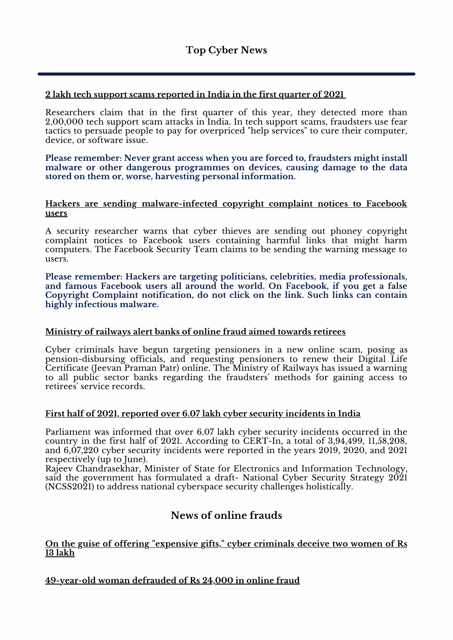#### **2 lakh tech support scams [reported](https://ciso.economictimes.indiatimes.com/news/2-lakh-tech-support-scams-detected-in-india-in-q1-2021-report/84140371) in India in the first quarter of 202[1](https://ciso.economictimes.indiatimes.com/news/2-lakh-tech-support-scams-detected-in-india-in-q1-2021-report/84140371)**

Researchers claim that in the first quarter of this year, they detected more than 2,00,000 tech support scam attacks in India. In tech support scams, fraudsters use fear tactics to persuade people to pay for overpriced "help services" to cure their computer, device, or software issue.

**Please remember: Never grant access when you are forced to, fraudsters might install malware or other dangerous programmes on devices, causing damage to the data stored on them or, worse, harvesting personal information.**

#### **Hackers are sending [malware-infected](https://economictimes.indiatimes.com/tech/technology/hackers-sending-fake-copyright-complaint-notice-with-malware-to-facebook-users-expert/articleshow/84442512.cms) copyright complaint notices to Facebook users**

A security researcher warns that cyber thieves are sending out phoney copyright complaint notices to Facebook users containing harmful links that might harm computers. The Facebook Security Team claims to be sending the warning message to users.

**Please remember: Hackers are targeting politicians, celebrities, media professionals, and famous Facebook users all around the world. On Facebook, if you get a false Copyright Complaint notification, do not click on the link. Such links can contain highly infectious malware.**

#### **[Ministry](https://www.thehindu.com/news/national/railways-alert-banks-of-online-fraud-targeting-pensioners/article35370891.ece) of railways alert banks of online fraud aimed towards retirees**

Cyber criminals have begun targeting pensioners in a new online scam, posing as pension-disbursing officials, and requesting pensioners to renew their Digital Life Certificate (Jeevan Praman Patr) online. The Ministry of Railways has issued a warning to all public sector banks regarding the fraudsters' methods for gaining access to retirees' service records.

#### **First half of 2021, reported over 6.07 lakh cyber security [incidents](https://www.gadgetsnow.com/tech-news/over-6-07-lakh-cyber-security-incidents-during-h1-2021-government/articleshow/84829662.cms) in India**

Parliament was informed that over 6.07 lakh cyber security incidents occurred in the country in the first half of 2021. According to CERT-In, a total of 3,94,499, 11,58,208, and 6,07,220 cyber security incidents were reported in the years 2019, 2020, and 2021 respectively (up to June).

Rajeev Chandrasekhar, Minister of State for Electronics and Information Technology, said the government has formulated a draft- National Cyber Security Strategy 2021 (NCSS2021) to address national cyberspace security challenges holistically.

#### **News of online frauds**

#### **On the guise of offering ["expensive](https://www.timesnownews.com/bengaluru/article/online-fraud-cybercrooks-dupe-2-women-of-rs-13-lakh-on-pretext-of-giving-costly-gifts/780955) gifts," cyber criminals deceive two women of Rs 13 lakh**

**[49-year-old](https://www.freepressjournal.in/mumbai/mumb%20ai-woman-duped-of-rs-24000-in-online-fraud-2) woman defrauded of Rs 24,000 in online fraud**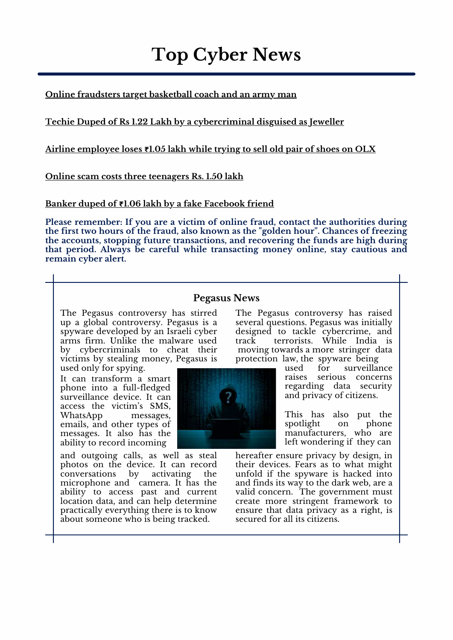**Top Cyber News**

**Online [fraudsters](https://www.thehindu.com/news/cities/bangalore/basketball-coach-and-army-man-become-victims-of-online-fraud/article35347735.ece) target basketball coach and an army man**

**Techie Duped of Rs 1.22 Lakh by a [cybercriminal](https://in.news.yahoo.com/online-fraud-pune-techie-duped-114804684.html?guccounter=1) disguised as Jeweller**

**Airline [employee](https://www.thehindu.com/news/cities/bangalore/online-fraud-airline-employee-loses-105-lakh-while-trying-to-sell-old-pair-of-shoes/article35557956.ece) loses ₹1.05 lakh while trying to sell old pair of shoes on OLX**

**Online scam costs three [teenagers](https://www.newindianexpress.com/states/tamil-nadu/2021/jul/28/three-youngsters-lose-rs-150-lakh-to-online-fraud-2336472.html) Rs. 1.50 lakh**

**Banker duped of ₹1.06 lakh by a fake [Facebook](https://www.hindustantimes.com/cities/chandigarh-news/chandigarh-banker-duped-of-1-06-lakh-in-online-fraud-101625862033043.html) friend**

**Please remember: If you are a victim of online fraud, contact the authorities during the first two hours of the fraud, also known as the "golden hour". Chances of freezing the accounts, stopping future transactions, and recovering the funds are high during that period. Always be careful while transacting money online, stay cautious and remain cyber alert.**

#### **Pegasus News**

The Pegasus controversy has stirred up a global controversy. Pegasus is a spyware developed by an Israeli cyber arms firm. Unlike the malware used by cybercriminals to cheat their victims by stealing money, Pegasus is used only for spying.

It can transform a smart phone into a full-fledged surveillance device. It can access the victim's SMS, WhatsApp messages, emails, and other types of messages. It also has the ability to record incoming



The Pegasus controversy has raised several questions. Pegasus was initially designed to tackle cybercrime, and track terrorists. While India is moving towards a more stringer data protection law, the spyware being

> used for surveillance raises serious concerns regarding data security and privacy of citizens.

> This has also put the spotlight on phone manufacturers, who are left wondering if they can

hereafter ensure privacy by design, in their devices. Fears as to what might unfold if the spyware is hacked into and finds its way to the dark web, are a valid concern. The government must create more stringent framework to ensure that data privacy as a right, is secured for all its citizens.

and outgoing calls, as well as steal photos on the device. It can record<br>conversations by activating the conversations by activating the microphone and camera. It has the ability to access past and current location data, and can help determine practically everything there is to know about someone who is being tracked.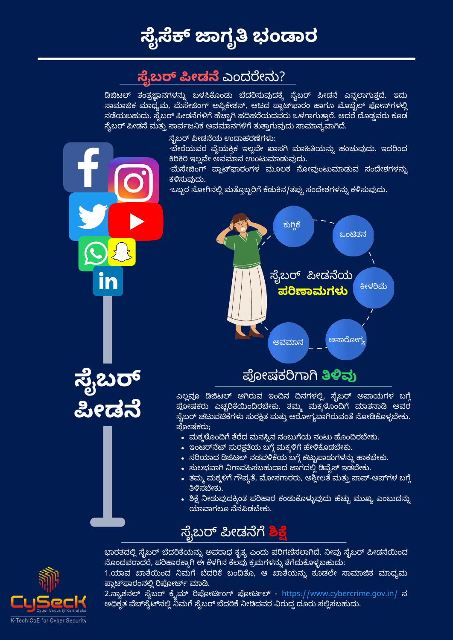

## **ಸೆ,ಬರ್ ಪೀಡನೆ** ಎಂದರೇನು?

ಡಿಜಿಟಲ್ ತಂತ್ರಜ್ಞಾನಗಳನ್ನು ಬಳಸಿಕೊಂಡು ಬೆದರಿಸುವುದಕ್ಕೆ ಸೈಬರ್ ಪೀಡನೆ ಎನ್ನಲಾಗುತ್ತದೆ. ಇದು ಸಾಮಾಜಿಕ ಮಾಧ್ಯಮ, ಮೆಸೇಜಿಂಗ್ ಅಪ್ಲಿಕೇಶನ್, ಆಟದ ಪ್ಲಾಟ್ಫಾಾರಂ ಹಾಗೂ ಮೊಬೈಲ್ ಫೋನ್ಗಳಲ್ಲಿ ನಡೆಯಬಹುದು. ಸೈಬರ್ ಪೀಡನೆಗಳಿಗೆ ಹೆಚ್ಚಾಗಿ ಹದಿಹರೆಯದವರು ಒಳಗಾಗುತ್ತಾರೆ. ಆದರೆ ದೊಡ್ಡವರು ಕೂಡ ಸೈಬರ್ ಪೀಡನೆ ಮತ್ತು ಸಾರ್ವಜನಿಕ ಅವಮಾನಗಳಿಗೆ ತುತ್ತಾಗುವುದು ಸಾಮಾನ್ಯವಾಗಿದೆ.

ಸೈಬರ್ ಪೀಡನೆಯ ಉದಾಹರಣೆಗಳು:

·ಬೇರೆಯವರ ವೈಯಕ್ತಿಕ ಇಲ್ಲವೇ ಖಾಸಗಿ ಮಾಹಿತಿಯನ್ನು ಹಂಚುವುದು. ಇದರಿಂದ ಕಿರಿಕಿರಿ ಇಲ್ಲವೇ ಅವಮಾನ ಉಂಟುಮಾಡುವುದು.

·ಮೆಸೇಜಿಂಗ್ ಪ್ಲಾಟ್**ಫಾರಂಗಳ ಮೂಲಕ ನೋವುಂಟುಮಾಡುವ ಸಂದೇಶಗಳ**ನ್ನು ಕಳಿಸುವುದು.

·ಒಬ್ಬರ ಸೋಗಿನಲ್ಲಿ ಮತ್ತೊಬ್ಬರಿಗೆ ಕೆಡುಕಿನ/ತಪ್ಪು ಸಂದೇಶಗಳನ್ನು ಕಳಿಸುವುದು.



ಎಲ್ಲವೂ ಡಿಜಿಟಲ್ ಆಗಿರುವ ಇಂದಿನ ದಿನಗಳಲ್ಲಿ, ಸೈಬರ್ ಅಪಾಯಗಳ ಬಗ್ಗೆ <u>ಪೋಷಕರು ಎಚ್ಚರಿಕೆಯಿಂದಿರಬೇಕು. ತಮ್ಮ ಮಕ್ಕ</u>ಳೊಂದಿಗೆ ಮಾತನಾಡಿ ಅವರ <u>ಸೈಬರ್ ಚ</u>ಟುವಟಿಕೆಗಳು ಸುರಕ್ಷಿತ ಮತ್ತು ಆರೋಗ್ಯವಾಗಿರುವಂತೆ ನೋಡಿಕೊಳ್ಳಬೇಕು. ೕಷಕರು;

- ಮಕ್ಕಳೊಂದಿಗೆ ತೆರೆದ ಮನಸ್ಸಿನ ನಂಬುಗೆಯ ನಂಟು ಹೊಂದಿರಬೇಕು.
- $\bullet$  ಇಂಟರ್ನೆಟ್ ಸುರಕ್ಷತೆಯ ಬಗ್ಗೆ ಮಕ್ಕಳಿಗೆ ಹೇಳಿಕೊಡಬೇಕು.
- $\bullet$  ಸರಿಯಾದ ಡಿಜಿಟಲ್ ನಡವಳಿಕೆಯ ಬಗ್ಗೆ ಕಟ್ಟುಪಾಡುಗಳನ್ನು ಹಾಕಬೇಕು.
- ಸುಲಭವಾಗಿ ನಿಗಾವಹಿಸಬಹುದಾದ ಜಾಗದಲ್ಲಿ ಡಿವೈಸ್ ಇಡಬೇಕು.
- ತಮ್ಮ ಮಕ್ಕಳಿಗೆ ಗೌಪ್ಯತೆ, ಮೋಸಗಾರರು, ಅಶ್ಲೀಲತೆ ಮತ್ತು ಪಾಪ್-ಅಪ್rಗಳ ಬಗ್ಗೆ ತಿಳಿಸಬೇಕು.
- ಶಿಕ್ಷೆ ನೀಡುವುದಕ್ಕಿಂತ ಪರಿಹಾರ ಕಂಡುಕೊಳ್ಳುವುದು ಹೆಚ್ಚು ಮುಖ್ಯ ಎಂಬುದನ್ನು ಯಾವಾಗಲೂ ನೆನಪಿಡಬೇಕು.

## ಸೈಬರ್ ಪೀಡನೆಗೆ <mark>ಶಿಕ್ಷ</mark>ೆ

ಭಾರತದಲ್ಲಿ ಸೈಬರ್ ಬೆದರಿಕೆಯನ್ನು ಅಪರಾಧ ಕೃತ್ಯ ಎಂದು ಪರಿಗಣಿಸಲಾಗಿದೆ. ನೀವು ಸೈಬರ್ ಪೀಡನೆಯಿಂದ ನೊಂದವರಾದರೆ, ಪರಿಹಾರಕ್ಕಾಗಿ ಈ ಕೆಳಗಿನ ಕೆಲವು ಕ್ರಮಗಳನ್ನು ತೆಗೆದುಕೊಳ್ಳಬಹುದು:

<u>1.ಯಾವ ಖಾತೆಯಿಂದ ನಿಮಗೆ ಬೆದರಿಕೆ ಬಂದಿತೊ, ಆ ಖಾತೆಯನ್ನು ಕೂಡಲೇ ಸಾಮಾಜಿಕ ಮಾಧ್ಯಮ</u> ಪ್ಲಾಟ್ಫಾರಂನಲ್ಲಿ ರಿಪೋರ್ಟ್ ಮಾಡಿ.

2.ನ್ಯಾಶನಲ್ ಸೈಬರ್ ಕ್ರೈಮ್ ರಿಪೋರ್ಟಿಂಗ್ ಪೋರ್ಟಲ್ - https://www.[cybercrime](https://www.cybercrime.gov.in/).gov.in/ ನ ಅಧಿಕೃತ ವೆಬ್ಸೈಟ್ನಲ್ಲಿ ನಿಮಗೆ ಸೈಬರ್ ಬೆದರಿಕೆ ನೀಡಿದವರ ವಿರುದ್ಧ ದೂರು ಸಲ್ಲಿಸಬಹುದು.



**ೖಬ**

**ೕಡ**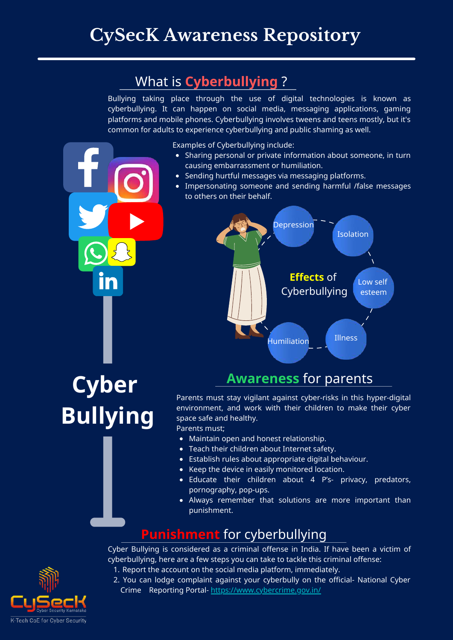# **CySecK Awareness Repository**

## What is **Cyberbullying** ?

Bullying taking place through the use of digital technologies is known as cyberbullying. It can happen on social media, messaging applications, gaming platforms and mobile phones. Cyberbullying involves tweens and teens mostly, but it's common for adults to experience cyberbullying and public shaming as well.

Examples of Cyberbullying include:

- Sharing personal or private information about someone, in turn causing embarrassment or humiliation.
- Sending hurtful messages via messaging platforms.
- Impersonating someone and sending harmful /false messages to others on their behalf.



# **Cyber Bullying**

### **Awareness** for parents

Parents must stay vigilant against cyber-risks in this hyper-digital environment, and work with their children to make their cyber space safe and healthy.

Parents must;

- Maintain open and honest relationship.
- Teach their children about Internet safety.
- Establish rules about appropriate digital behaviour.
- Keep the device in easily monitored location.
- Educate their children about 4 P's- privacy, predators, pornography, pop-ups.
- Always remember that solutions are more important than punishment.

### **Punishment** for cyberbullying

Cyber Bullying is considered as a criminal offense in India. If have been a victim of cyberbullying, here are a few steps you can take to tackle this criminal offense:

- 1. Report the account on the social media platform, immediately.
- 2. You can lodge complaint against your cyberbully on the official- National Cyber Crime Reporting Portal- <https://www.cybercrime.gov.in/>

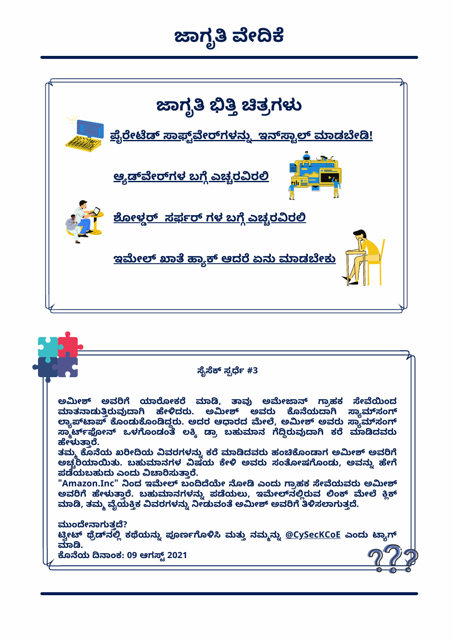# ಜಾಗೃತಿ ವೇದಿಕೆ



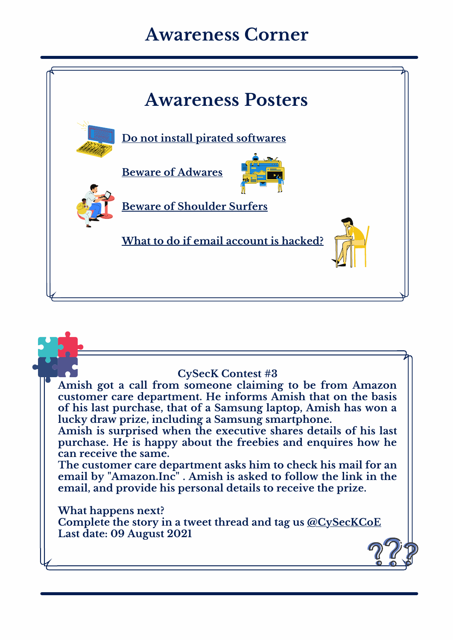## **Awareness Corner**



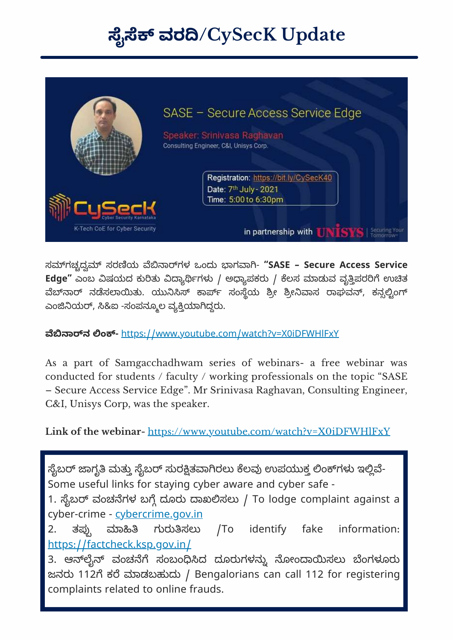# **ೖ ವರ/CySecK Update**



ಸಗಚದ ಸರಯ ಾಗಳ ಒಂದು ಾಗಾ- **"SASE – Secure Access Service** Edge" ಎಂಬ ವಿಷಯದ ಕುರಿತು ವಿದ್ಯಾರ್ಥಿಗಳು / ಅಧ್ಯಾಪಕರು / ಕೆಲಸ ಮಾಡುವ ವೃತ್ತಿಪರರಿಗೆ ಉಚಿತ ವೆಬ್ನಾರ್ ನಡೆಸಲಾಯಿತು. ಯುನಿಸಿಸ್ ಕಾರ್ಪ್ ಸಂಸ್ಥೆಯ ಶ್ರೀ ಶ್ರೀನಿವಾಸ ರಾಘವನ್, ಕನ್ಸಲ್ಟಿಂಗ್ ಎಂಜಿನಿಯರ್, ಸಿ&ಐ -ಸಂಪನ್ಮೂಲ ವ್ಯಕ್ತಿಯಾಗಿದ್ದರು.

**ಾನ ಂ-** https://www.youtube.com/watch?v=X0[iDFWHlFxY](https://www.youtube.com/watch?v=X0iDFWHlFxY)

As a part of Samgacchadhwam series of webinars- a free webinar was conducted for students / faculty / working professionals on the topic "SASE – Secure Access Service Edge". Mr Srinivasa Raghavan, Consulting Engineer, C&I, Unisys Corp, was the speaker.

**Link of the webinar-** <https://www.youtube.com/watch?v=X0iDFWHlFxY>

ಸೈಬರ್ ಜಾಗೃತಿ ಮತ್ತು ಸೈಬರ್ ಸುರಕ್ಷಿತವಾಗಿರಲು ಕೆಲವು ಉಪಯುಕ್ತ ಲಿಂಕ್ಗಳು ಇಲ್ಲಿವೆ-Some useful links for staying cyber aware and cyber safe -

1. ಸೈಬರ್ ವಂಚನೆಗಳ ಬಗ್ಗೆ ದೂರು ದಾಖಲಿಸಲು / To lodge complaint against a cyber-crime - [cybercrime](http://cybercrime.gov.in/).gov.in

2. ತಪ ಾ ಗುರುಸಲು /To identify fake information: https://[factcheck](https://factcheck.ksp.gov.in/).ksp.gov.in/

3. ಆನ್**ಲೈನ್ ವಂಚನೆಗೆ ಸಂಬಂಧಿಸಿದ ದೂರುಗಳನ್ನು ನೋಂ**ದಾಯಿಸಲು ಬೆಂಗಳೂರು ಜನರು 112ಗೆ ಕರೆ ಮಾಡಬಹುದು / Bengalorians can call 112 for registering complaints related to online frauds.